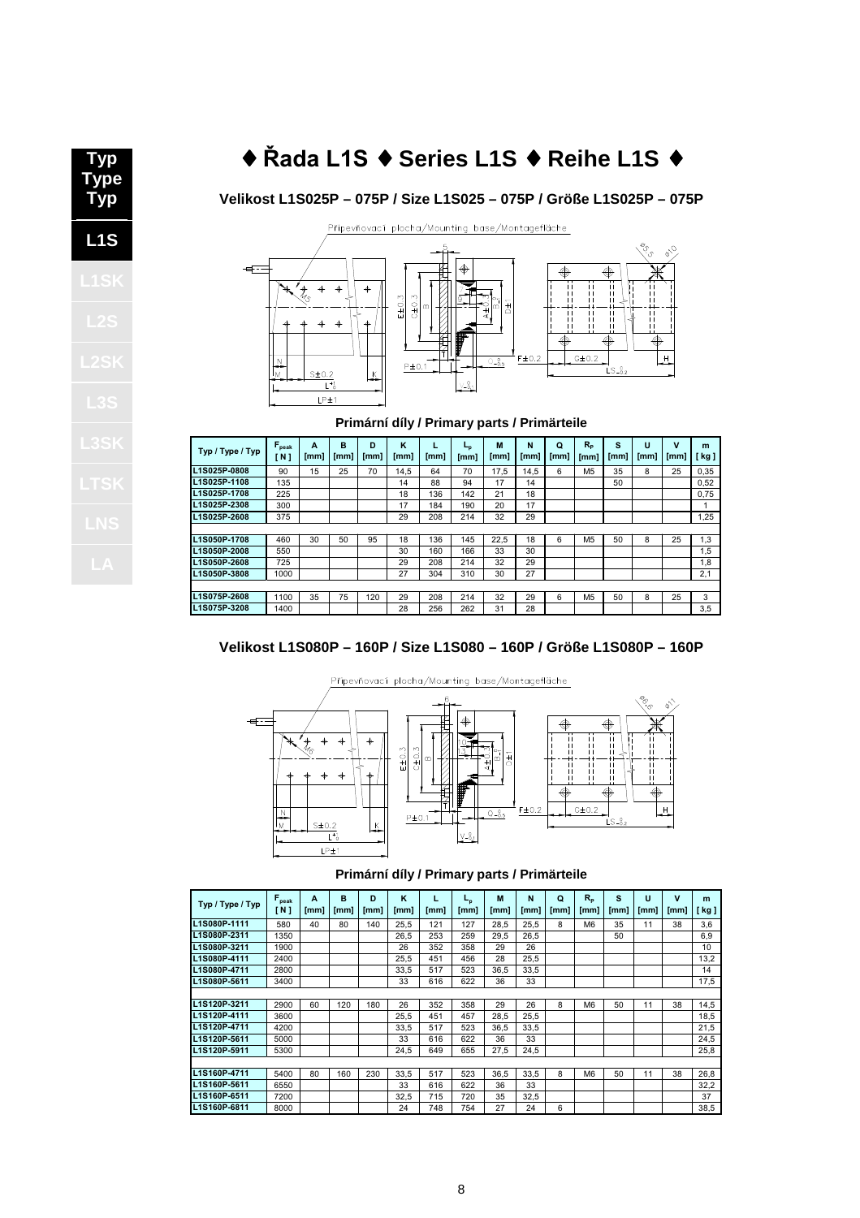# ♦ Řada L1S ♦ **Series L1S** ♦ **Reihe L1S** ♦ 1.3.1. T क़

Ņ

 $LP<sub>±1</sub>$ 

# Připevňovací plocha/Mounting base/Montagefläche  $E\pm0.3$  $C \pm 0.3$  $G\pm 0.2$  $-0.5$  $P \pm 0.1$  $\frac{\text{S} \pm 0.2}{L^*}$

# **Velikost L1S025P – 075P / Size L1S025 – 075P / Größe L1S025P – 075P**



V

| Typ / Type / Typ    | $F_{\text{peak}}$<br>'N 1 | A<br>[mm] | в<br>[mm] | D<br>[mm] | ĸ<br>[mm] | [mm] | L <sub>n</sub><br>[mm] | M<br>[mm] | N<br>[mm] | Q<br>[mm] | $R_{p}$<br>[mm] | S<br>[mm] | U<br>[mm] | $\mathbf v$<br>[mm] | m<br>kg ] |
|---------------------|---------------------------|-----------|-----------|-----------|-----------|------|------------------------|-----------|-----------|-----------|-----------------|-----------|-----------|---------------------|-----------|
| L1S025P-0808        | 90                        | 15        | 25        | 70        | 14.5      | 64   | 70                     | 17.5      | 14.5      | 6         | M <sub>5</sub>  | 35        | 8         | 25                  | 0,35      |
| L1S025P-1108        | 135                       |           |           |           | 14        | 88   | 94                     | 17        | 14        |           |                 | 50        |           |                     | 0,52      |
| <b>L1S025P-1708</b> | 225                       |           |           |           | 18        | 136  | 142                    | 21        | 18        |           |                 |           |           |                     | 0.75      |
| L1S025P-2308        | 300                       |           |           |           | 17        | 184  | 190                    | 20        | 17        |           |                 |           |           |                     | 1         |
| L1S025P-2608        | 375                       |           |           |           | 29        | 208  | 214                    | 32        | 29        |           |                 |           |           |                     | 1.25      |
|                     |                           |           |           |           |           |      |                        |           |           |           |                 |           |           |                     |           |
| <b>L1S050P-1708</b> | 460                       | 30        | 50        | 95        | 18        | 136  | 145                    | 22.5      | 18        | 6         | M <sub>5</sub>  | 50        | 8         | 25                  | 1,3       |
| <b>L1S050P-2008</b> | 550                       |           |           |           | 30        | 160  | 166                    | 33        | 30        |           |                 |           |           |                     | 1,5       |
| <b>L1S050P-2608</b> | 725                       |           |           |           | 29        | 208  | 214                    | 32        | 29        |           |                 |           |           |                     | 1,8       |
| L1S050P-3808        | 1000                      |           |           |           | 27        | 304  | 310                    | 30        | 27        |           |                 |           |           |                     | 2,1       |
|                     |                           |           |           |           |           |      |                        |           |           |           |                 |           |           |                     |           |
| L1S075P-2608        | 1100                      | 35        | 75        | 120       | 29        | 208  | 214                    | 32        | 29        | 6         | M <sub>5</sub>  | 50        | 8         | 25                  | 3         |
| L1S075P-3208        | 1400                      |           |           |           | 28        | 256  | 262                    | 31        | 28        |           |                 |           |           |                     | 3.5       |

## **Velikost L1S080P – 160P / Size L1S080 – 160P / Größe L1S080P – 160P**



#### **Primární díly / Primary parts / Primärteile**

| Typ / Type / Typ | $F_{\text{peak}}$<br>[ N ] | A<br>[mm] | в<br>[mm] | D<br>[mm] | K<br>[mm] | L<br>[mm] | եթ<br>[mm] | M<br>[mm] | N<br>[mm] | Q<br>[mm] | $R_{p}$<br>[mm] | s<br>[mm] | U<br>[mm] | $\mathbf v$<br>[mm] | m<br>kg ] |
|------------------|----------------------------|-----------|-----------|-----------|-----------|-----------|------------|-----------|-----------|-----------|-----------------|-----------|-----------|---------------------|-----------|
| L1S080P-1111     | 580                        | 40        | 80        | 140       | 25,5      | 121       | 127        | 28,5      | 25.5      | 8         | M <sub>6</sub>  | 35        | 11        | 38                  | 3,6       |
| L1S080P-2311     | 1350                       |           |           |           | 26.5      | 253       | 259        | 29.5      | 26.5      |           |                 | 50        |           |                     | 6,9       |
| L1S080P-3211     | 1900                       |           |           |           | 26        | 352       | 358        | 29        | 26        |           |                 |           |           |                     | 10        |
| L1S080P-4111     | 2400                       |           |           |           | 25.5      | 451       | 456        | 28        | 25.5      |           |                 |           |           |                     | 13,2      |
| L1S080P-4711     | 2800                       |           |           |           | 33.5      | 517       | 523        | 36,5      | 33.5      |           |                 |           |           |                     | 14        |
| L1S080P-5611     | 3400                       |           |           |           | 33        | 616       | 622        | 36        | 33        |           |                 |           |           |                     | 17,5      |
|                  |                            |           |           |           |           |           |            |           |           |           |                 |           |           |                     |           |
| L1S120P-3211     | 2900                       | 60        | 120       | 180       | 26        | 352       | 358        | 29        | 26        | 8         | M <sub>6</sub>  | 50        | 11        | 38                  | 14,5      |
| L1S120P-4111     | 3600                       |           |           |           | 25,5      | 451       | 457        | 28,5      | 25,5      |           |                 |           |           |                     | 18,5      |
| L1S120P-4711     | 4200                       |           |           |           | 33.5      | 517       | 523        | 36.5      | 33.5      |           |                 |           |           |                     | 21,5      |
| L1S120P-5611     | 5000                       |           |           |           | 33        | 616       | 622        | 36        | 33        |           |                 |           |           |                     | 24,5      |
| L1S120P-5911     | 5300                       |           |           |           | 24,5      | 649       | 655        | 27,5      | 24.5      |           |                 |           |           |                     | 25,8      |
|                  |                            |           |           |           |           |           |            |           |           |           |                 |           |           |                     |           |
| L1S160P-4711     | 5400                       | 80        | 160       | 230       | 33.5      | 517       | 523        | 36.5      | 33.5      | 8         | M <sub>6</sub>  | 50        | 11        | 38                  | 26,8      |
| L1S160P-5611     | 6550                       |           |           |           | 33        | 616       | 622        | 36        | 33        |           |                 |           |           |                     | 32,2      |
| L1S160P-6511     | 7200                       |           |           |           | 32,5      | 715       | 720        | 35        | 32,5      |           |                 |           |           |                     | 37        |
| L1S160P-6811     | 8000                       |           |           |           | 24        | 748       | 754        | 27        | 24        | 6         |                 |           |           |                     | 38,5      |

**Type Typ L1S**

**Typ**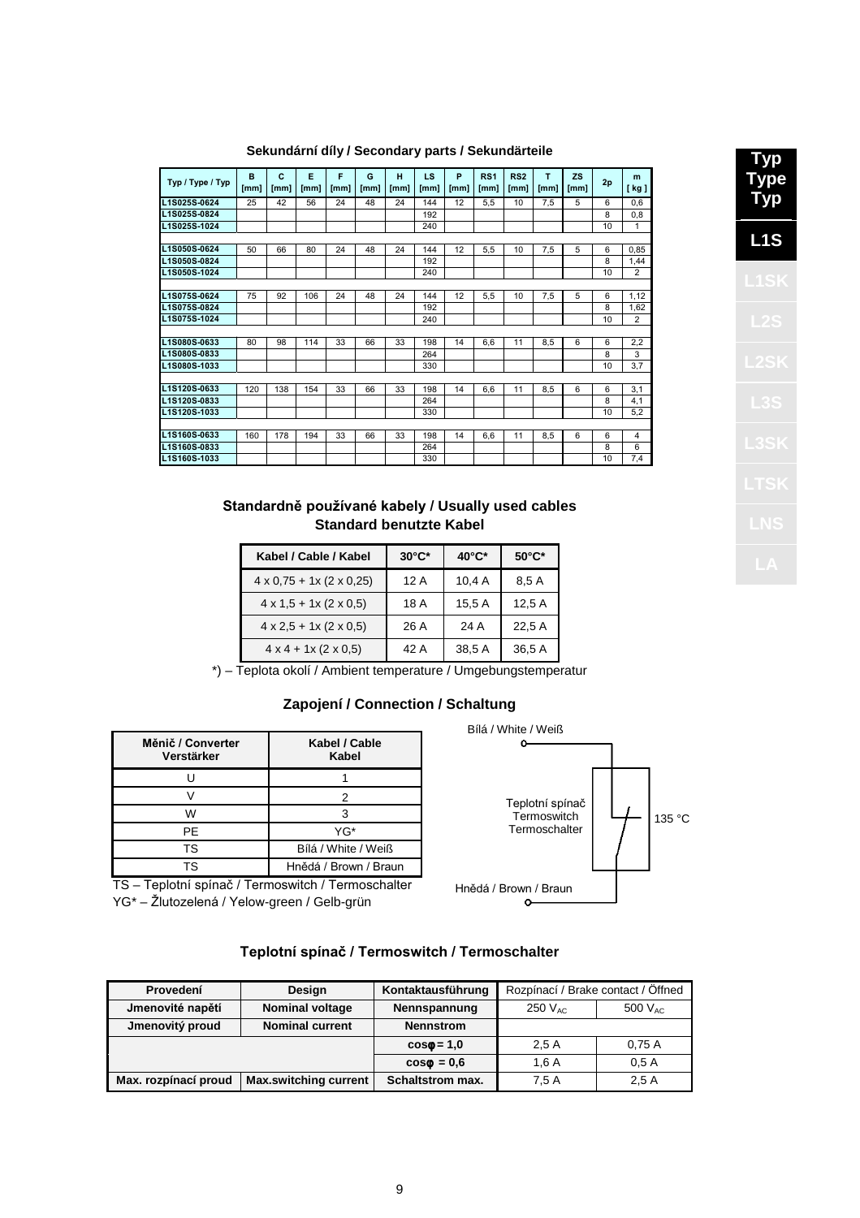| L1S025S-0624<br>25  |     | [mm] | [mm] | [mm] | H<br>[mm] | LS<br>[mm] | P<br>[mm] | RS <sub>1</sub><br>[mm] | RS <sub>2</sub><br>[mm] | T<br>[mm] | <b>ZS</b><br>[mm] | 2p | m<br>[ kg ] |
|---------------------|-----|------|------|------|-----------|------------|-----------|-------------------------|-------------------------|-----------|-------------------|----|-------------|
|                     | 42  | 56   | 24   | 48   | 24        | 144        | 12        | 5.5                     | 10                      | 7.5       | 5                 | 6  | 0,6         |
| L1S025S-0824        |     |      |      |      |           | 192        |           |                         |                         |           |                   | 8  | 0,8         |
| L1S025S-1024        |     |      |      |      |           | 240        |           |                         |                         |           |                   | 10 | 1           |
|                     |     |      |      |      |           |            |           |                         |                         |           |                   |    |             |
| L1S050S-0624<br>50  | 66  | 80   | 24   | 48   | 24        | 144        | 12        | 5.5                     | 10                      | 7,5       | 5                 | 6  | 0.85        |
| L1S050S-0824        |     |      |      |      |           | 192        |           |                         |                         |           |                   | 8  | 1,44        |
| L1S050S-1024        |     |      |      |      |           | 240        |           |                         |                         |           |                   | 10 | 2           |
|                     |     |      |      |      |           |            |           |                         |                         |           |                   |    |             |
| L1S075S-0624<br>75  | 92  | 106  | 24   | 48   | 24        | 144        | 12        | 5,5                     | 10                      | 7,5       | 5                 | 6  | 1,12        |
| L1S075S-0824        |     |      |      |      |           | 192        |           |                         |                         |           |                   | 8  | 1,62        |
| L1S075S-1024        |     |      |      |      |           | 240        |           |                         |                         |           |                   | 10 | 2           |
|                     |     |      |      |      |           |            |           |                         |                         |           |                   |    |             |
| L1S080S-0633<br>80  | 98  | 114  | 33   | 66   | 33        | 198        | 14        | 6.6                     | 11                      | 8.5       | 6                 | 6  | 2,2         |
| L1S080S-0833        |     |      |      |      |           | 264        |           |                         |                         |           |                   | 8  | 3           |
| L1S080S-1033        |     |      |      |      |           | 330        |           |                         |                         |           |                   | 10 | 3,7         |
|                     |     |      |      |      |           |            |           |                         |                         |           |                   |    |             |
| L1S120S-0633<br>120 | 138 | 154  | 33   | 66   | 33        | 198        | 14        | 6.6                     | 11                      | 8.5       | 6                 | 6  | 3,1         |
| L1S120S-0833        |     |      |      |      |           | 264        |           |                         |                         |           |                   | 8  | 4,1         |
| L1S120S-1033        |     |      |      |      |           | 330        |           |                         |                         |           |                   | 10 | 5.2         |
|                     |     |      |      |      |           |            |           |                         |                         |           |                   |    |             |
| L1S160S-0633<br>160 | 178 | 194  | 33   | 66   | 33        | 198        | 14        | 6.6                     | 11                      | 8.5       | 6                 | 6  | 4           |
| L1S160S-0833        |     |      |      |      |           | 264        |           |                         |                         |           |                   | 8  | 6           |
| L1S160S-1033        |     |      |      |      |           | 330        |           |                         |                         |           |                   | 10 | 7,4         |

### **Sekundární díly / Secondary parts / Sekundärteile**

# Standardně používané kabely / **Usually used cables Standard benutzte Kabel**

| Kabel / Cable / Kabel                      | $30^{\circ}$ C* | $40^{\circ}$ C* | $50^{\circ}$ C* |
|--------------------------------------------|-----------------|-----------------|-----------------|
| $4 \times 0.75 + 1 \times (2 \times 0.25)$ | 12A             | 10,4A           | 8,5 A           |
| $4 \times 1.5 + 1 \times (2 \times 0.5)$   | 18 A            | 15.5A           | 12.5A           |
| $4 \times 2.5 + 1 \times (2 \times 0.5)$   | 26 A            | 24 A            | 22.5 A          |
| $4 \times 4 + 1 \times (2 \times 0.5)$     | 42 A            | 38,5 A          | 36,5 A          |

\*) – Teplota okolí / Ambient temperature / Umgebungstemperatur

# **Zapojení / Connection / Schaltung**

| Měnič / Converter<br>Verstärker | Kabel / Cable<br>Kabel |
|---------------------------------|------------------------|
|                                 |                        |
|                                 | 2                      |
| w                               | 3                      |
| PF                              | YG*                    |
| TS                              | Bílá / White / Weiß    |
| ΤS                              | Hnědá / Brown / Braun  |

TS – Teplotní spínač / Termoswitch / Termoschalter YG\* – Žlutozelená/ Yelow-green / Gelb-grün



## Teplotní spínač/ Term oswitch / Te**rmoschalter**

| Provedení            | Design                 | Kontaktausführung | Rozpínací / Brake contact / Öffned |              |
|----------------------|------------------------|-------------------|------------------------------------|--------------|
| Jmenovité napětí     | <b>Nominal voltage</b> | Nennspannung      | 250 $V_{AC}$                       | 500 $V_{AC}$ |
| Jmenovitý proud      | <b>Nominal current</b> | <b>Nennstrom</b>  |                                    |              |
|                      |                        | $\cos\phi = 1.0$  | 2.5A                               | 0.75A        |
|                      |                        | $\cos\phi = 0.6$  | 1.6A                               | 0.5A         |
| Max. rozpínací proud | Max.switching current  | Schaltstrom max.  | 7.5A                               | 2.5A         |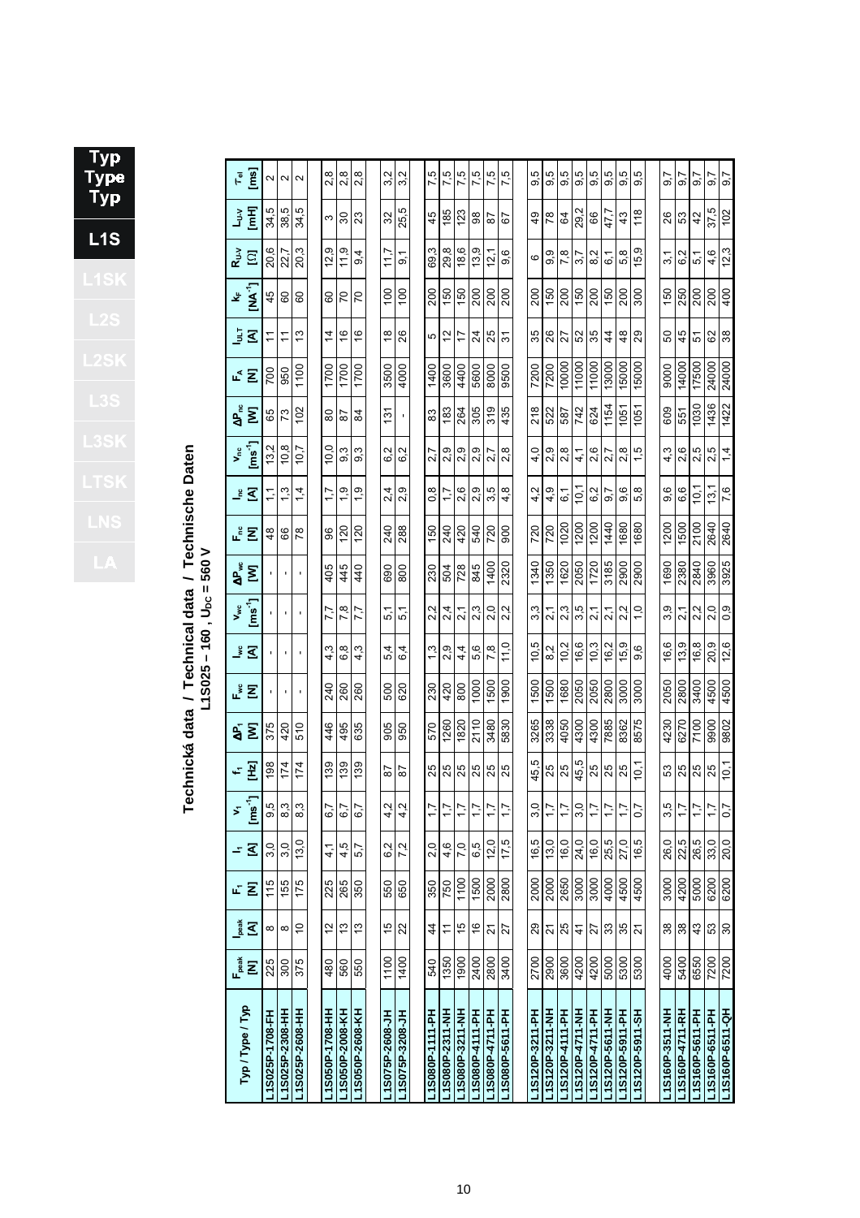| ׇ֚֘֝֬<br>ļ<br>ī<br>ר |
|----------------------|
|                      |
|                      |
|                      |
|                      |
| ×                    |
|                      |
|                      |
|                      |
|                      |

Technická data / Technical data / Technische Daten<br>L18025-160, U<sub>bc</sub> = 560 V **Technická data / Technical data / Technische Daten L1S025 – 160 , UDC = 560 V**

| Typ / Type / Typ | $F_{peak}$ | heak           | 屺    | <u>- ব</u>    | Σ                  | 노포       | $\mathbf{A}$ | ⊭້ Σ | ু ব্            | $V_{wc}$                     | ៹៓ឨ            | ᇉᄝ              | <u>ঁ ব</u>    | $\frac{1}{2}$ is $\frac{1}{2}$ | $\mathbf{e}_{\mathbf{k}}^{\mathbf{e}}$ $\mathbf{\Sigma}$ | ⊾≦ ∑  | <u>្វិ ៩</u>   | ٧Ļ             | ្នុំ <u>ក្នុ</u>    | Iner<br>List    | $\tau_{\rm el}$      |
|------------------|------------|----------------|------|---------------|--------------------|----------|--------------|------|-----------------|------------------------------|----------------|-----------------|---------------|--------------------------------|----------------------------------------------------------|-------|----------------|----------------|---------------------|-----------------|----------------------|
|                  | Ξ          | $\mathbf{Z}$   | Ξ    |               | $[$ ms $^{\prime}$ |          | Σ            |      |                 | $\overline{[ms^4]}$          |                |                 |               |                                |                                                          |       |                | $N^1$          |                     |                 | $\overline{[m]}$     |
| L1S025P-1708-FH  | 225        | 8              | 115  | 3,0           | 9,5                | 198      | 375          |      |                 |                              |                | 48              | こ             | 13,2                           | 65                                                       | 700   | H              | 45             | 20,6                | 34,5            | Z                    |
| L1S025P-2308-HH  | 300        | $\infty$       | 155  | 3,0           | 8,3                | 174      | 420          | ٠    | $\blacksquare$  | $\blacksquare$               | $\blacksquare$ | 66              | $\frac{3}{2}$ | 10,8                           | 73                                                       | 950   | Ξ              | 8              | 22,7                | 38,5            | $\sim$               |
| L1S025P-2608-HH  | 375        | $\overline{C}$ | 175  | 13.0          | 8.3                | 174      | 510          |      | J.              |                              |                | $\overline{78}$ | 4.            | 10.7                           | 102                                                      | 1100  | 13             | 60             | 20.3                | ယ္<br>र्न्न     | $\mathbf{\Omega}$    |
|                  |            |                |      |               |                    |          |              |      |                 |                              |                |                 |               |                                |                                                          |       |                |                |                     |                 |                      |
| L1S050P-1708-HH  | 480        | $\frac{2}{3}$  | 225  | $\frac{1}{4}$ | 6,7                | 139      | 446          | 240  | ო<br>4          | 7.7                          | 405            | 96              | 1.7           | 10.0                           | 80                                                       | 1700  | 4              | 8              | တ<br>12,            | ω               | $\frac{8}{2}$        |
| L1S050P-2008-KH  | 560        | $\frac{3}{2}$  | 265  | 4.5           | 6.7                | 139      | 495          | 260  | $\infty$<br>ق   | 7,8                          | 445            | 120             | σ             | ო<br>တ                         | 58                                                       | 1700  | $\frac{6}{5}$  | 20             | თ<br>11.            | $\overline{30}$ | 2,8                  |
| L1S050P-2608-KH  | 550        | 13             | 350  | 5,7           | 6,7                | 139      | 635          | 260  | 4,3             | 7,7                          | 440            | 120             | $\frac{0}{1}$ | 9,3                            | 84                                                       | 1700  | $\frac{6}{5}$  | 20             | $9\overline{4}$     | 23              | 2,8                  |
|                  |            |                |      |               |                    |          |              |      |                 |                              |                |                 |               |                                |                                                          |       |                |                |                     |                 |                      |
| L1S075P-2608-JH  | 1100       | 15             | 550  | 6,2           | 4,2                | 58       | 905          | 500  | 4<br>ທ່         | 5,1                          | 690            | 240             | 2,4           | 6.2                            | $\frac{5}{1}$                                            | 3500  | $\frac{8}{1}$  | $\frac{00}{2}$ | 117                 | 32              | 3,2                  |
| L1S075P-3208-JH  | 1400       | 22             | 650  | 7.2           | 4.2                | 28       | 950          | 620  | 4<br>ဖ          | ᠇<br>ທ່                      | 800            | 288             | σ<br>$\sim$   | ų<br>ق                         | ٠                                                        | 4000  | 26             | 100            | $\overline{9}$      | ro.<br>25,      | Ņ<br>က်              |
|                  |            |                |      |               |                    |          |              |      |                 |                              |                |                 |               |                                |                                                          |       |                |                |                     |                 |                      |
| L1S080P-1111-PH  | 540        | $\frac{4}{4}$  | 350  | 2,0           | $\ddot{ }$         | 25       | 570          | 230  | 1,3             | Ņ<br>$\dot{\mathsf{N}}$      | 230            | 150             | 0,8           | 2.7                            | 83                                                       | 1400  | 5              | 200            | cù<br>69,           | 45              | 7,5                  |
| L1S080P-2311-NH  | 1350       | Ξ              | 750  | 4,6           | $\frac{1}{2}$      | 25       | 1260         | 420  | οņ<br>$\sim$    | 4<br>$\overline{\mathsf{N}}$ | 504            | 240             | 1.7           | σ<br>Ñ٠                        | 183                                                      | 3600  | 2              | 150            | 29,8                | 185             | 7,5                  |
| L1S080P-3211-NH  | 1900       | 15             | 1100 | 7,0           | 7,7                | 25       | 1820         | 800  | $4\overline{4}$ | 2,1                          | 728            | 420             | 2,6           | 2,9                            | 264                                                      | 4400  | 7              | 150            | 18,6                | 123             | 7,5                  |
| L15080P-4111-PH  | 2400       | $\frac{6}{5}$  | 1500 | 6,5           | 7,7                | 25       | 2110         | 1000 | 5,6             | 2,3                          | 845            | 540             | 2,9           | σ<br>۵j                        | 305                                                      | 5600  | $\overline{2}$ | 200            | 13,9                | 98              | 7,5                  |
| L15080P-4711-PH  | 2800       | 21             | 2000 | 12,0          | 7,7                | 25       | 3480         | 1500 | 7,8             | 2,0                          | 1400           | 720             | 3,5           | 2,7                            | 319                                                      | 8000  | 25             | 200            | 12,1                | 5               | 7,5                  |
| L1S080P-5611-PH  | 3400       | 27             | 2800 | 17,5          | $\overline{1}$     | 25       | 5830         | 1900 | 11.0            | 2.2                          | 2320           | 900             | 4.8           | œ<br>$\mathbf{\dot{v}}$        | 435                                                      | 9500  | 5              | 200            | 9,6                 | 79              | rù<br>$\overline{ }$ |
|                  |            |                |      |               |                    |          |              |      |                 |                              |                |                 |               |                                |                                                          |       |                |                |                     |                 |                      |
| L1S120P-3211-PH  | 2700       | 29             | 2000 | 16,5          | 3.0                | 5<br>45, | 3265         | 1500 | ယ္<br><u>рі</u> | ო<br>ຕ໌                      | 1340           | 720             | Ņ<br>4        | Q<br>4                         | 218                                                      | 7200  | 35             | 200            | ဖ                   | 49              | 5<br>တ               |
| L1S120P-3211-NH  | 2900       | $\overline{2}$ | 2000 | 13,0          | 1,7                | 25       | 3338         | 500  | Ν<br>ထ          | 2,1                          | 1350           | 720             | O.<br>4       | σ<br>۰i                        | 522                                                      | 7200  | 26             | 150            | თ.<br>တ             | $\frac{8}{3}$   | rú<br>တ              |
| L1S120P-4111-PH  | 3600       | 25             | 2650 | 16,0          | 1,7                | 25       | 4050         | 1680 | 10,2            | 2,3                          | 1620           | 1020            | 61            | 2,8                            | 587                                                      | 10000 | 27             | 200            | 7,8                 | 84              | 9,5                  |
| L1S120P-4711-NH  | 4200       | $\frac{4}{3}$  | 3000 | 24,0          | 3,0                | 45,5     | 4300         | 2050 | 16,6            | 3,5                          | 2050           | 1200            | 10,1          | $\frac{1}{4}$                  | 742                                                      | 11000 | 52             | 150            | 3.7                 | 29,2            | rú<br>တ              |
| L1S120P-4711-PH  | 4200       | 27             | 3000 | 16,0          | 7,7                | 25       | 4300         | 2050 | 10,3            | 2,1                          | 1720           | 1200            | 6,2           | 2.6                            | 624                                                      | 11000 | 35             | 200            | 8.2                 | 89              | rú<br>တ              |
| L1S120P-5611-NH  | 5000       | 33             | 4000 | 25,5          |                    | 25       | 7885         | 2800 | 16,2            | 2,1                          | 3185           | 1440            | 9.7           | 2,7                            | 1154                                                     | 13000 | $\overline{4}$ | 150            | $\overline{6}$      | 47,7            | rö.<br>တ             |
| L1S120P-5911-PH  | 5300       | 35             | 4500 | 27,0          | 7,7                | 25       | 8362         | 3000 | 15,9            | 2,2                          | 2900           | 1680            | 9.6           | œ<br>$\sim$                    | 1051                                                     | 15000 | $\frac{8}{4}$  | 200            | 5,8                 | 43              | 5<br>ၜ               |
| L1S120P-5911-SH  | 5300       | ಸ              | 4500 | 16,5          | 0.7                | Ξ,       | 8575         | 3000 | <u>ဖ</u><br>တ   | $\frac{0}{1}$                | 2900           | 1680            | œ<br>ທ່       | rú                             | 1051                                                     | 15000 | 29             | 300            | თ<br>$\overline{5}$ | 118             | 5<br>ၜ               |
|                  |            |                |      |               |                    |          |              |      |                 |                              |                |                 |               |                                |                                                          |       |                |                |                     |                 |                      |
| L1S160P-3511-NH  | 4000       | 38             | 3000 | 26,0          | 3,5                | 33       | 4230         | 2050 | 16,6            | 3,9                          | 1690           | 1200            | 9,6           | 4.3                            | 609                                                      | 9000  | 50             | 150            | 3,1                 | 26              | $\overline{9.7}$     |
| L1S160P-4711-RH  | 5400       | 38             | 4200 | 22,5          | 7,7                | 25       | 6270         | 2800 | 13,9            | 2,1                          | 2380           | 1500            | 6,6           | 2.6                            | 551                                                      | 14000 | 45             | 250            | 6.2                 | S3              | 5.7                  |
| L1S160P-5611-PH  | 6550       | 43             | 5000 | 26,5          | 7,7                | 25       | 7100         | 3400 | 16,8            | 2.2                          | 2840           | 2100            | $\frac{1}{2}$ | 2.5                            | 1030                                                     | 17500 | 5              | 200            | 5,1                 | $\frac{2}{3}$   | 5.6                  |
| L1S160P-6511-PH  | 7200       | 53             | 6200 | 33,0          | 1,7                | 25       | 9900         | 4500 | 20,9            | 2,0                          | 3960           | 2640            | 13,           | 2,5                            | 1436                                                     | 24000 | 82             | 200            | 4,6                 | 37,5            | 9.7                  |
| L1S160P-6511-QH  | 7200       | 30             | 6200 | 20,0          | 0,7                | 10,1     | 9802         | 4500 | 12,6            | 0,9                          | 3925           | 2640            | 7,6           | $\frac{4}{1}$                  | 1422                                                     | 24000 | 38             | 400            | 12,3                | 102             | 9.7                  |